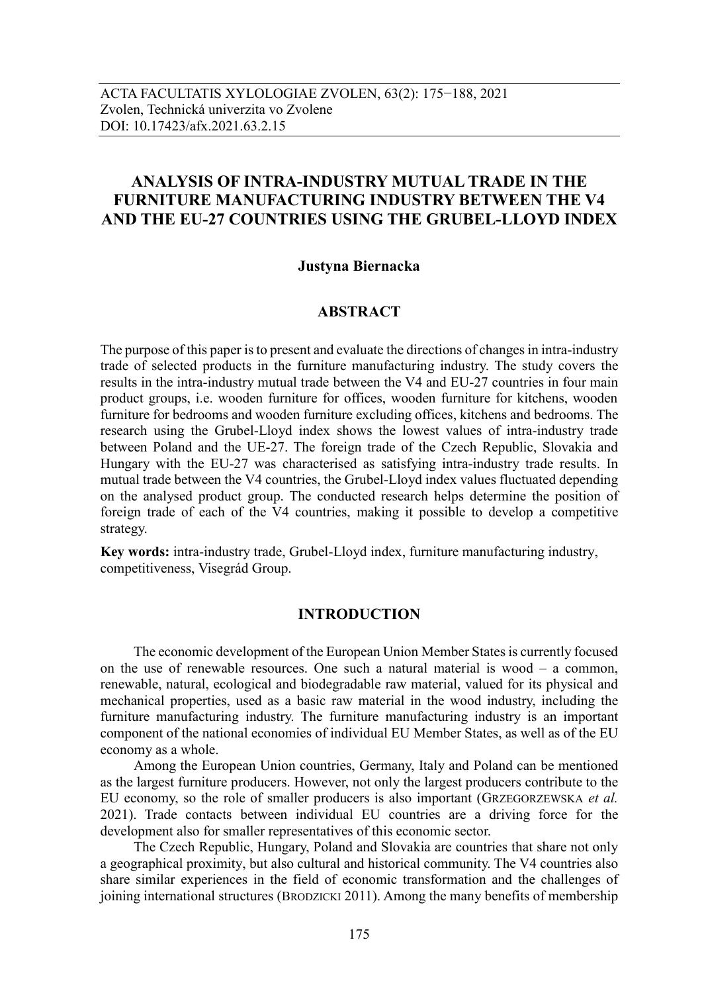# **ANALYSIS OF INTRA-INDUSTRY MUTUAL TRADE IN THE FURNITURE MANUFACTURING INDUSTRY BETWEEN THE V4 AND THE EU-27 COUNTRIES USING THE GRUBEL-LLOYD INDEX**

#### **Justyna Biernacka**

### **ABSTRACT**

The purpose of this paper is to present and evaluate the directions of changes in intra-industry trade of selected products in the furniture manufacturing industry. The study covers the results in the intra-industry mutual trade between the V4 and EU-27 countries in four main product groups, i.e. wooden furniture for offices, wooden furniture for kitchens, wooden furniture for bedrooms and wooden furniture excluding offices, kitchens and bedrooms. The research using the Grubel-Lloyd index shows the lowest values of intra-industry trade between Poland and the UE-27. The foreign trade of the Czech Republic, Slovakia and Hungary with the EU-27 was characterised as satisfying intra-industry trade results. In mutual trade between the V4 countries, the Grubel-Lloyd index values fluctuated depending on the analysed product group. The conducted research helps determine the position of foreign trade of each of the V4 countries, making it possible to develop a competitive strategy.

**Key words:** intra-industry trade, Grubel-Lloyd index, furniture manufacturing industry, competitiveness, Visegrád Group.

## **INTRODUCTION**

The economic development of the European Union Member Statesis currently focused on the use of renewable resources. One such a natural material is wood – a common, renewable, natural, ecological and biodegradable raw material, valued for its physical and mechanical properties, used as a basic raw material in the wood industry, including the furniture manufacturing industry. The furniture manufacturing industry is an important component of the national economies of individual EU Member States, as well as of the EU economy as a whole.

Among the European Union countries, Germany, Italy and Poland can be mentioned as the largest furniture producers. However, not only the largest producers contribute to the EU economy, so the role of smaller producers is also important (GRZEGORZEWSKA *et al.* 2021). Trade contacts between individual EU countries are a driving force for the development also for smaller representatives of this economic sector.

The Czech Republic, Hungary, Poland and Slovakia are countries that share not only a geographical proximity, but also cultural and historical community. The V4 countries also share similar experiences in the field of economic transformation and the challenges of joining international structures (BRODZICKI 2011). Among the many benefits of membership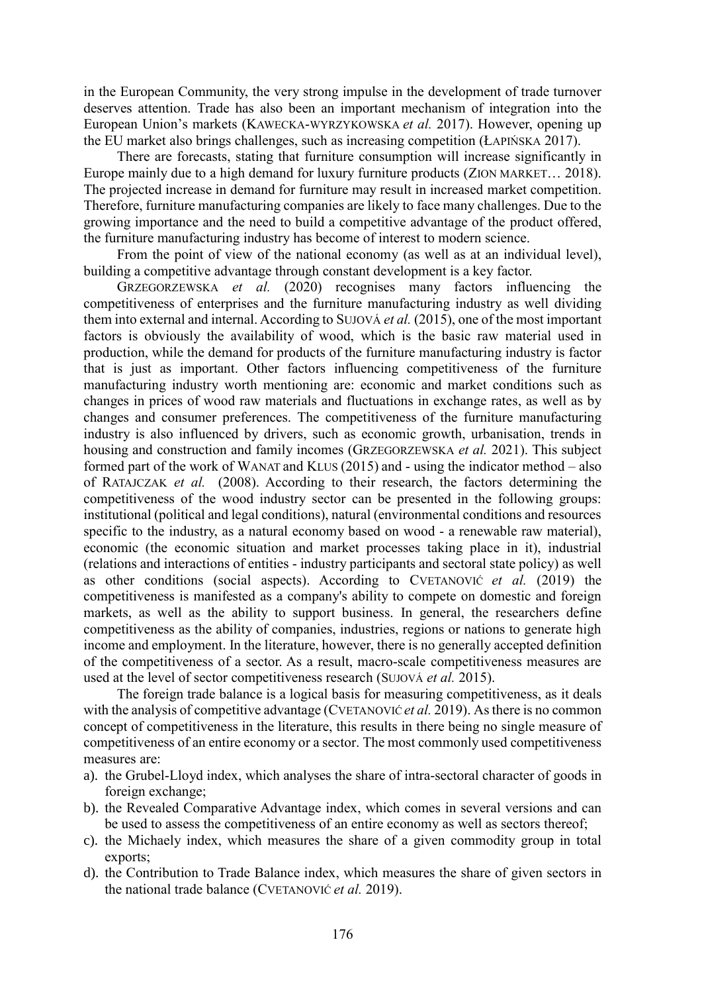in the European Community, the very strong impulse in the development of trade turnover deserves attention. Trade has also been an important mechanism of integration into the European Union's markets (KAWECKA-WYRZYKOWSKA *et al.* 2017). However, opening up the EU market also brings challenges, such as increasing competition (ŁAPIŃSKA 2017).

There are forecasts, stating that furniture consumption will increase significantly in Europe mainly due to a high demand for luxury furniture products (ZION MARKET… 2018). The projected increase in demand for furniture may result in increased market competition. Therefore, furniture manufacturing companies are likely to face many challenges. Due to the growing importance and the need to build a competitive advantage of the product offered, the furniture manufacturing industry has become of interest to modern science.

From the point of view of the national economy (as well as at an individual level), building a competitive advantage through constant development is a key factor.

GRZEGORZEWSKA *et al.* (2020) recognises many factors influencing the competitiveness of enterprises and the furniture manufacturing industry as well dividing them into external and internal. According to SUJOVÁ *et al.* (2015), one of the most important factors is obviously the availability of wood, which is the basic raw material used in production, while the demand for products of the furniture manufacturing industry is factor that is just as important. Other factors influencing competitiveness of the furniture manufacturing industry worth mentioning are: economic and market conditions such as changes in prices of wood raw materials and fluctuations in exchange rates, as well as by changes and consumer preferences. The competitiveness of the furniture manufacturing industry is also influenced by drivers, such as economic growth, urbanisation, trends in housing and construction and family incomes (GRZEGORZEWSKA *et al.* 2021). This subject formed part of the work of WANAT and KLUS (2015) and - using the indicator method – also of RATAJCZAK *et al.* (2008). According to their research, the factors determining the competitiveness of the wood industry sector can be presented in the following groups: institutional (political and legal conditions), natural (environmental conditions and resources specific to the industry, as a natural economy based on wood - a renewable raw material), economic (the economic situation and market processes taking place in it), industrial (relations and interactions of entities - industry participants and sectoral state policy) as well as other conditions (social aspects). According to CVETANOVIĆ *et al.* (2019) the competitiveness is manifested as a company's ability to compete on domestic and foreign markets, as well as the ability to support business. In general, the researchers define competitiveness as the ability of companies, industries, regions or nations to generate high income and employment. In the literature, however, there is no generally accepted definition of the competitiveness of a sector. As a result, macro-scale competitiveness measures are used at the level of sector competitiveness research (SUJOVÁ *et al.* 2015).

The foreign trade balance is a logical basis for measuring competitiveness, as it deals with the analysis of competitive advantage (CVETANOVIĆ *et al.* 2019). As there is no common concept of competitiveness in the literature, this results in there being no single measure of competitiveness of an entire economy or a sector. The most commonly used competitiveness measures are:

- a). the Grubel-Lloyd index, which analyses the share of intra-sectoral character of goods in foreign exchange;
- b). the Revealed Comparative Advantage index, which comes in several versions and can be used to assess the competitiveness of an entire economy as well as sectors thereof;
- c). the Michaely index, which measures the share of a given commodity group in total exports;
- d). the Contribution to Trade Balance index, which measures the share of given sectors in the national trade balance (CVETANOVIĆ *et al.* 2019).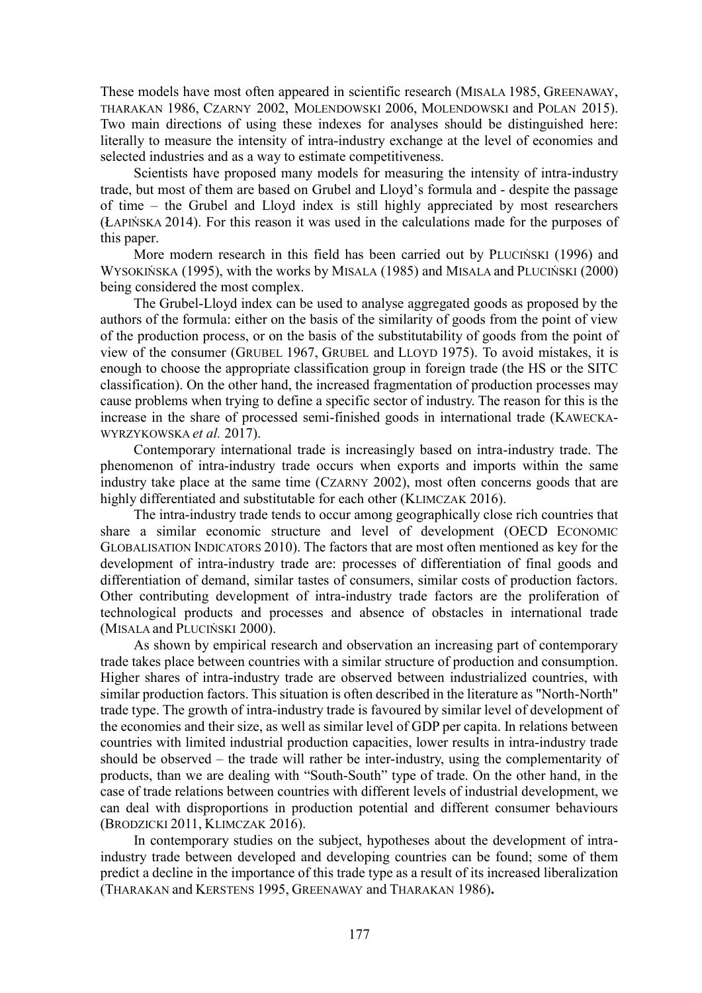These models have most often appeared in scientific research (MISALA 1985, GREENAWAY, THARAKAN 1986, CZARNY 2002, MOLENDOWSKI 2006, MOLENDOWSKI and POLAN 2015). Two main directions of using these indexes for analyses should be distinguished here: literally to measure the intensity of intra-industry exchange at the level of economies and selected industries and as a way to estimate competitiveness.

Scientists have proposed many models for measuring the intensity of intra-industry trade, but most of them are based on Grubel and Lloyd's formula and - despite the passage of time – the Grubel and Lloyd index is still highly appreciated by most researchers (ŁAPIŃSKA 2014). For this reason it was used in the calculations made for the purposes of this paper.

More modern research in this field has been carried out by PLUCIŃSKI (1996) and WYSOKIŃSKA (1995), with the works by MISALA (1985) and MISALA and PLUCIŃSKI (2000) being considered the most complex.

The Grubel-Lloyd index can be used to analyse aggregated goods as proposed by the authors of the formula: either on the basis of the similarity of goods from the point of view of the production process, or on the basis of the substitutability of goods from the point of view of the consumer (GRUBEL 1967, GRUBEL and LLOYD 1975). To avoid mistakes, it is enough to choose the appropriate classification group in foreign trade (the HS or the SITC classification). On the other hand, the increased fragmentation of production processes may cause problems when trying to define a specific sector of industry. The reason for this is the increase in the share of processed semi-finished goods in international trade (KAWECKA-WYRZYKOWSKA *et al.* 2017).

Contemporary international trade is increasingly based on intra-industry trade. The phenomenon of intra-industry trade occurs when exports and imports within the same industry take place at the same time (CZARNY 2002), most often concerns goods that are highly differentiated and substitutable for each other (KLIMCZAK 2016).

The intra-industry trade tends to occur among geographically close rich countries that share a similar economic structure and level of development (OECD ECONOMIC GLOBALISATION INDICATORS 2010). The factors that are most often mentioned as key for the development of intra-industry trade are: processes of differentiation of final goods and differentiation of demand, similar tastes of consumers, similar costs of production factors. Other contributing development of intra-industry trade factors are the proliferation of technological products and processes and absence of obstacles in international trade (MISALA and PLUCIŃSKI 2000).

As shown by empirical research and observation an increasing part of contemporary trade takes place between countries with a similar structure of production and consumption. Higher shares of intra-industry trade are observed between industrialized countries, with similar production factors. This situation is often described in the literature as "North-North" trade type. The growth of intra-industry trade is favoured by similar level of development of the economies and their size, as well as similar level of GDP per capita. In relations between countries with limited industrial production capacities, lower results in intra-industry trade should be observed – the trade will rather be inter-industry, using the complementarity of products, than we are dealing with "South-South" type of trade. On the other hand, in the case of trade relations between countries with different levels of industrial development, we can deal with disproportions in production potential and different consumer behaviours (BRODZICKI 2011, KLIMCZAK 2016).

In contemporary studies on the subject, hypotheses about the development of intraindustry trade between developed and developing countries can be found; some of them predict a decline in the importance of this trade type as a result of its increased liberalization (THARAKAN and KERSTENS 1995, GREENAWAY and THARAKAN 1986)**.**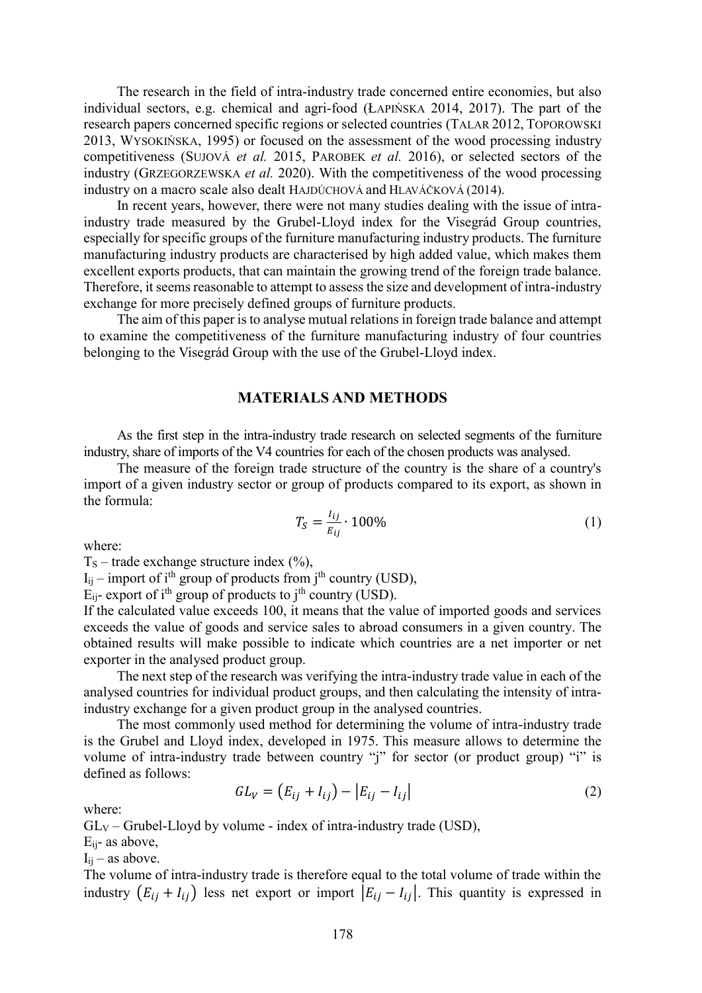The research in the field of intra-industry trade concerned entire economies, but also individual sectors, e.g. chemical and agri-food (ŁAPIŃSKA 2014, 2017). The part of the research papers concerned specific regions or selected countries (TALAR 2012, TOPOROWSKI 2013, WYSOKIŃSKA, 1995) or focused on the assessment of the wood processing industry competitiveness (SUJOVÁ *et al.* 2015, PAROBEK *et al.* 2016), or selected sectors of the industry (GRZEGORZEWSKA *et al.* 2020). With the competitiveness of the wood processing industry on a macro scale also dealt HAJDÚCHOVÁ and HLAVÁČKOVÁ (2014).

In recent years, however, there were not many studies dealing with the issue of intraindustry trade measured by the Grubel-Lloyd index for the Visegrád Group countries, especially for specific groups of the furniture manufacturing industry products. The furniture manufacturing industry products are characterised by high added value, which makes them excellent exports products, that can maintain the growing trend of the foreign trade balance. Therefore, it seems reasonable to attempt to assess the size and development of intra-industry exchange for more precisely defined groups of furniture products.

The aim of this paper is to analyse mutual relations in foreign trade balance and attempt to examine the competitiveness of the furniture manufacturing industry of four countries belonging to the Visegrád Group with the use of the Grubel-Lloyd index.

#### **MATERIALS AND METHODS**

As the first step in the intra-industry trade research on selected segments of the furniture industry, share of imports of the V4 countries for each of the chosen products was analysed.

The measure of the foreign trade structure of the country is the share of a country's import of a given industry sector or group of products compared to its export, as shown in the formula:

$$
T_S = \frac{I_{ij}}{E_{ij}} \cdot 100\%
$$
 (1)

where:

 $T<sub>S</sub>$  – trade exchange structure index (%),

 $I_{ij}$  – import of i<sup>th</sup> group of products from j<sup>th</sup> country (USD),

 $\dot{E}_{ij}$ - export of i<sup>th</sup> group of products to j<sup>th</sup> country (USD).

If the calculated value exceeds 100, it means that the value of imported goods and services exceeds the value of goods and service sales to abroad consumers in a given country. The obtained results will make possible to indicate which countries are a net importer or net exporter in the analysed product group.

The next step of the research was verifying the intra-industry trade value in each of the analysed countries for individual product groups, and then calculating the intensity of intraindustry exchange for a given product group in the analysed countries.

The most commonly used method for determining the volume of intra-industry trade is the Grubel and Lloyd index, developed in 1975. This measure allows to determine the volume of intra-industry trade between country "j" for sector (or product group) "j" is defined as follows:

$$
GL_V = (E_{ij} + I_{ij}) - |E_{ij} - I_{ij}|
$$
\n(2)

where:

 $GL_V$  – Grubel-Lloyd by volume - index of intra-industry trade (USD),

Eij- as above,

 $I_{ii}$  – as above.

The volume of intra-industry trade is therefore equal to the total volume of trade within the industry  $(E_{ij} + I_{ij})$  less net export or import  $|E_{ij} - I_{ij}|$ . This quantity is expressed in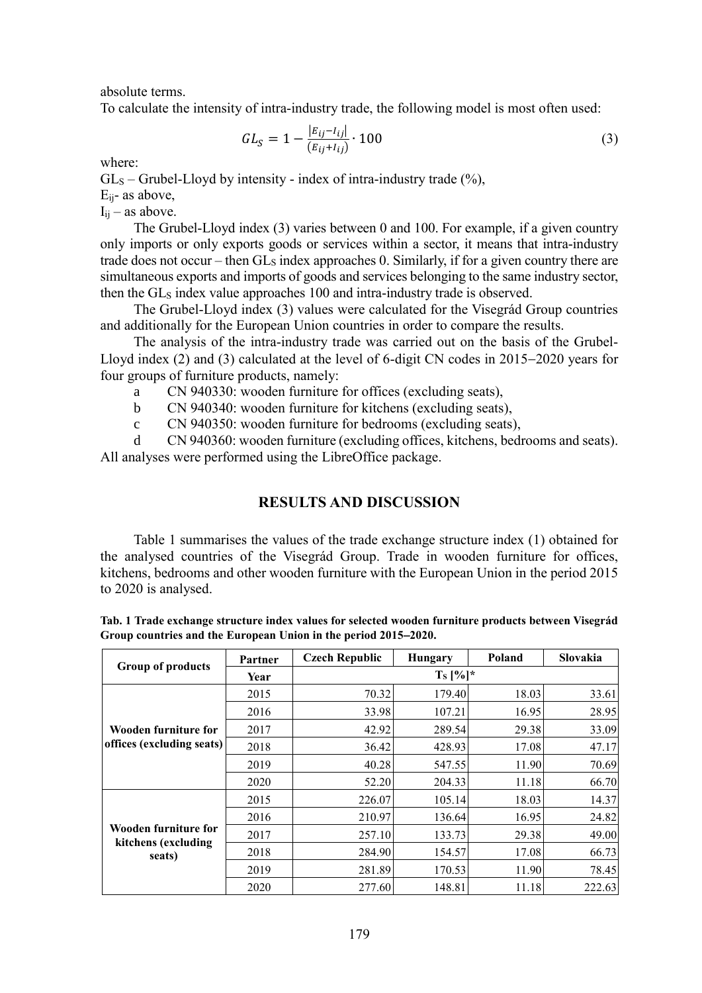absolute terms.

To calculate the intensity of intra-industry trade, the following model is most often used:

$$
GL_S = 1 - \frac{|E_{ij} - I_{ij}|}{(E_{ij} + I_{ij})} \cdot 100
$$
\n(3)

where:

 $GL<sub>S</sub>$  – Grubel-Lloyd by intensity - index of intra-industry trade (%),

Eij- as above,

 $I_{ij}$  – as above.

The Grubel-Lloyd index (3) varies between 0 and 100. For example, if a given country only imports or only exports goods or services within a sector, it means that intra-industry trade does not occur – then  $GL<sub>S</sub>$  index approaches 0. Similarly, if for a given country there are simultaneous exports and imports of goods and services belonging to the same industry sector, then the GL<sub>S</sub> index value approaches 100 and intra-industry trade is observed.

The Grubel-Lloyd index (3) values were calculated for the Visegrád Group countries and additionally for the European Union countries in order to compare the results.

The analysis of the intra-industry trade was carried out on the basis of the Grubel-Lloyd index (2) and (3) calculated at the level of 6-digit CN codes in  $2015-2020$  years for four groups of furniture products, namely:

a CN 940330: wooden furniture for offices (excluding seats),

b CN 940340: wooden furniture for kitchens (excluding seats),

c CN 940350: wooden furniture for bedrooms (excluding seats),

d CN 940360: wooden furniture (excluding offices, kitchens, bedrooms and seats). All analyses were performed using the LibreOffice package.

# **RESULTS AND DISCUSSION**

Table 1 summarises the values of the trade exchange structure index (1) obtained for the analysed countries of the Visegrád Group. Trade in wooden furniture for offices, kitchens, bedrooms and other wooden furniture with the European Union in the period 2015 to 2020 is analysed.

|                               | Partner | <b>Czech Republic</b> | Hungary | Poland | Slovakia |  |  |  |
|-------------------------------|---------|-----------------------|---------|--------|----------|--|--|--|
| <b>Group of products</b>      | Year    | $T_s$ [%]*            |         |        |          |  |  |  |
|                               | 2015    | 70.32                 | 179.40  | 18.03  | 33.61    |  |  |  |
|                               | 2016    | 33.98                 | 107.21  | 16.95  | 28.95    |  |  |  |
| Wooden furniture for          | 2017    | 42.92                 | 289.54  | 29.38  | 33.09    |  |  |  |
| offices (excluding seats)     | 2018    | 36.42                 | 428.93  | 17.08  | 47.17    |  |  |  |
|                               | 2019    | 40.28                 | 547.55  | 11.90  | 70.69    |  |  |  |
|                               | 2020    | 52.20                 | 204.33  | 11.18  | 66.70    |  |  |  |
|                               | 2015    | 226.07                | 105.14  | 18.03  | 14.37    |  |  |  |
|                               | 2016    | 210.97                | 136.64  | 16.95  | 24.82    |  |  |  |
| Wooden furniture for          | 2017    | 257.10                | 133.73  | 29.38  | 49.00    |  |  |  |
| kitchens (excluding<br>seats) | 2018    | 284.90                | 154.57  | 17.08  | 66.73    |  |  |  |
|                               | 2019    | 281.89                | 170.53  | 11.90  | 78.45    |  |  |  |
|                               | 2020    | 277.60                | 148.81  | 11.18  | 222.63   |  |  |  |

**Tab. 1 Trade exchange structure index values for selected wooden furniture products between Visegrád Group countries and the European Union in the period 20152020.**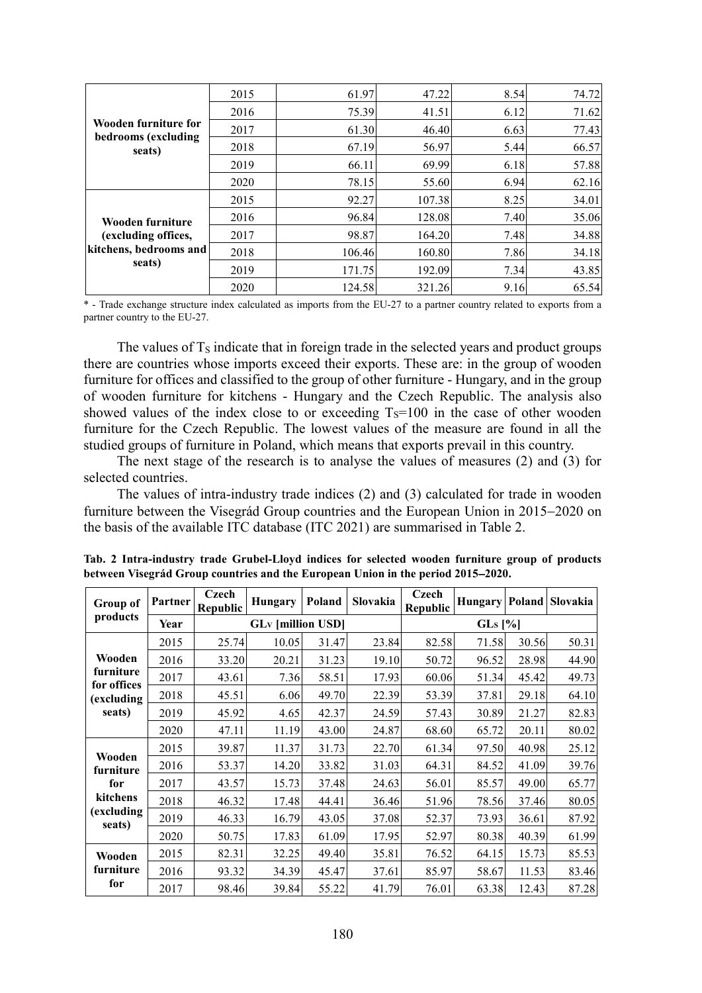|                                                         | 2015 | 61.97  | 47.22  | 8.54 | 74.72 |
|---------------------------------------------------------|------|--------|--------|------|-------|
|                                                         | 2016 | 75.39  | 41.51  | 6.12 | 71.62 |
| Wooden furniture for                                    | 2017 | 61.30  | 46.40  | 6.63 | 77.43 |
| bedrooms (excluding<br>seats)                           | 2018 | 67.19  | 56.97  | 5.44 | 66.57 |
|                                                         | 2019 | 66.11  | 69.99  | 6.18 | 57.88 |
|                                                         | 2020 | 78.15  | 55.60  | 6.94 | 62.16 |
|                                                         | 2015 | 92.27  | 107.38 | 8.25 | 34.01 |
| Wooden furniture                                        | 2016 | 96.84  | 128.08 | 7.40 | 35.06 |
| (excluding offices,<br>kitchens, bedrooms and<br>seats) | 2017 | 98.87  | 164.20 | 7.48 | 34.88 |
|                                                         | 2018 | 106.46 | 160.80 | 7.86 | 34.18 |
|                                                         | 2019 | 171.75 | 192.09 | 7.34 | 43.85 |
|                                                         | 2020 | 124.58 | 321.26 | 9.16 | 65.54 |

\* - Trade exchange structure index calculated as imports from the EU-27 to a partner country related to exports from a partner country to the EU-27.

The values of  $T<sub>S</sub>$  indicate that in foreign trade in the selected years and product groups there are countries whose imports exceed their exports. These are: in the group of wooden furniture for offices and classified to the group of other furniture - Hungary, and in the group of wooden furniture for kitchens - Hungary and the Czech Republic. The analysis also showed values of the index close to or exceeding  $T_s=100$  in the case of other wooden furniture for the Czech Republic. The lowest values of the measure are found in all the studied groups of furniture in Poland, which means that exports prevail in this country.

The next stage of the research is to analyse the values of measures (2) and (3) for selected countries.

The values of intra-industry trade indices (2) and (3) calculated for trade in wooden furniture between the Visegrád Group countries and the European Union in 2015–2020 on the basis of the available ITC database (ITC 2021) are summarised in Table 2.

| Group of                 | Partner | Czech<br>Republic | <b>Hungary</b>           | Poland | <b>Slovakia</b> | Czech<br><b>Republic</b> | Hungary Poland |       | Slovakia |
|--------------------------|---------|-------------------|--------------------------|--------|-----------------|--------------------------|----------------|-------|----------|
| products                 | Year    |                   | <b>GLv</b> [million USD] |        |                 | $GLs$ [%]                |                |       |          |
|                          | 2015    | 25.74             | 10.05                    | 31.47  | 23.84           | 82.58                    | 71.58          | 30.56 | 50.31    |
| Wooden                   | 2016    | 33.20             | 20.21                    | 31.23  | 19.10           | 50.72                    | 96.52          | 28.98 | 44.90    |
| furniture<br>for offices | 2017    | 43.61             | 7.36                     | 58.51  | 17.93           | 60.06                    | 51.34          | 45.42 | 49.73    |
| (excluding)              | 2018    | 45.51             | 6.06                     | 49.70  | 22.39           | 53.39                    | 37.81          | 29.18 | 64.10    |
| seats)                   | 2019    | 45.92             | 4.65                     | 42.37  | 24.59           | 57.43                    | 30.89          | 21.27 | 82.83    |
|                          | 2020    | 47.11             | 11.19                    | 43.00  | 24.87           | 68.60                    | 65.72          | 20.11 | 80.02    |
| Wooden                   | 2015    | 39.87             | 11.37                    | 31.73  | 22.70           | 61.34                    | 97.50          | 40.98 | 25.12    |
| furniture                | 2016    | 53.37             | 14.20                    | 33.82  | 31.03           | 64.31                    | 84.52          | 41.09 | 39.76    |
| for                      | 2017    | 43.57             | 15.73                    | 37.48  | 24.63           | 56.01                    | 85.57          | 49.00 | 65.77    |
| kitchens                 | 2018    | 46.32             | 17.48                    | 44.41  | 36.46           | 51.96                    | 78.56          | 37.46 | 80.05    |
| (excluding)<br>seats)    | 2019    | 46.33             | 16.79                    | 43.05  | 37.08           | 52.37                    | 73.93          | 36.61 | 87.92    |
|                          | 2020    | 50.75             | 17.83                    | 61.09  | 17.95           | 52.97                    | 80.38          | 40.39 | 61.99    |
| Wooden                   | 2015    | 82.31             | 32.25                    | 49.40  | 35.81           | 76.52                    | 64.15          | 15.73 | 85.53    |
| furniture                | 2016    | 93.32             | 34.39                    | 45.47  | 37.61           | 85.97                    | 58.67          | 11.53 | 83.46    |
| for                      | 2017    | 98.46             | 39.84                    | 55.22  | 41.79           | 76.01                    | 63.38          | 12.43 | 87.28    |

**Tab. 2 Intra-industry trade Grubel-Lloyd indices for selected wooden furniture group of products between Visegrád Group countries and the European Union in the period 20152020.**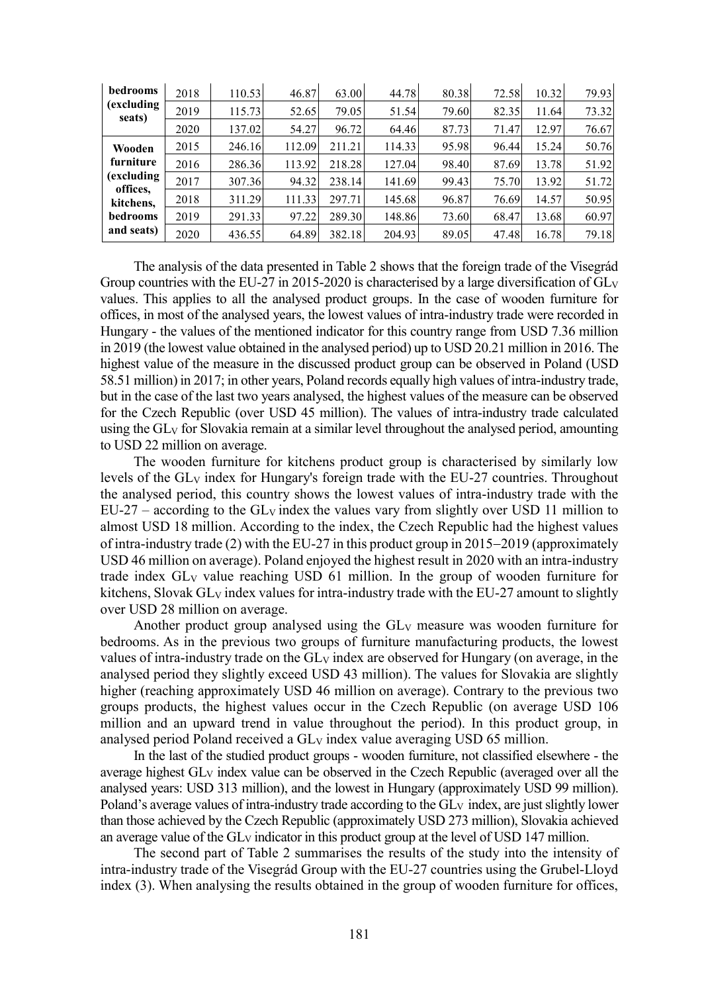| bedrooms              | 2018 | 110.53 | 46.87  | 63.00  | 44.78  | 80.38 | 72.58 | 10.32 | 79.93 |
|-----------------------|------|--------|--------|--------|--------|-------|-------|-------|-------|
| (excluding)<br>seats) | 2019 | 115.73 | 52.65  | 79.05  | 51.54  | 79.60 | 82.35 | 11.64 | 73.32 |
|                       | 2020 | 137.02 | 54.27  | 96.72  | 64.46  | 87.73 | 71.47 | 12.97 | 76.67 |
| Wooden                | 2015 | 246.16 | 112.09 | 211.21 | 114.33 | 95.98 | 96.44 | 15.24 | 50.76 |
| furniture             | 2016 | 286.36 | 113.92 | 218.28 | 127.04 | 98.40 | 87.69 | 13.78 | 51.92 |
| (excluding)           | 2017 | 307.36 | 94.32  | 238.14 | 141.69 | 99.43 | 75.70 | 13.92 | 51.72 |
| offices,<br>kitchens, | 2018 | 311.29 | 111.33 | 297.71 | 145.68 | 96.87 | 76.69 | 14.57 | 50.95 |
| bedrooms              | 2019 | 291.33 | 97.22  | 289.30 | 148.86 | 73.60 | 68.47 | 13.68 | 60.97 |
| and seats)            | 2020 | 436.55 | 64.89  | 382.18 | 204.93 | 89.05 | 47.48 | 16.78 | 79.18 |

The analysis of the data presented in Table 2 shows that the foreign trade of the Visegrád Group countries with the EU-27 in 2015-2020 is characterised by a large diversification of  $GL_V$ values. This applies to all the analysed product groups. In the case of wooden furniture for offices, in most of the analysed years, the lowest values of intra-industry trade were recorded in Hungary - the values of the mentioned indicator for this country range from USD 7.36 million in 2019 (the lowest value obtained in the analysed period) up to USD 20.21 million in 2016. The highest value of the measure in the discussed product group can be observed in Poland (USD 58.51 million) in 2017; in other years, Poland records equally high values of intra-industry trade, but in the case of the last two years analysed, the highest values of the measure can be observed for the Czech Republic (over USD 45 million). The values of intra-industry trade calculated using the GL<sub>V</sub> for Slovakia remain at a similar level throughout the analysed period, amounting to USD 22 million on average.

The wooden furniture for kitchens product group is characterised by similarly low levels of the  $GL_V$  index for Hungary's foreign trade with the EU-27 countries. Throughout the analysed period, this country shows the lowest values of intra-industry trade with the  $EU-27$  – according to the  $GL_V$  index the values vary from slightly over USD 11 million to almost USD 18 million. According to the index, the Czech Republic had the highest values of intra-industry trade (2) with the EU-27 in this product group in  $2015-2019$  (approximately USD 46 million on average). Poland enjoyed the highest result in 2020 with an intra-industry trade index GL<sup>V</sup> value reaching USD 61 million. In the group of wooden furniture for kitchens, Slovak  $GL_V$  index values for intra-industry trade with the EU-27 amount to slightly over USD 28 million on average.

Another product group analysed using the  $GL_V$  measure was wooden furniture for bedrooms. As in the previous two groups of furniture manufacturing products, the lowest values of intra-industry trade on the  $GL_V$  index are observed for Hungary (on average, in the analysed period they slightly exceed USD 43 million). The values for Slovakia are slightly higher (reaching approximately USD 46 million on average). Contrary to the previous two groups products, the highest values occur in the Czech Republic (on average USD 106 million and an upward trend in value throughout the period). In this product group, in analysed period Poland received a GL<sub>V</sub> index value averaging USD 65 million.

In the last of the studied product groups - wooden furniture, not classified elsewhere - the average highest  $GL_V$  index value can be observed in the Czech Republic (averaged over all the analysed years: USD 313 million), and the lowest in Hungary (approximately USD 99 million). Poland's average values of intra-industry trade according to the  $GL_V$  index, are just slightly lower than those achieved by the Czech Republic (approximately USD 273 million), Slovakia achieved an average value of the  $GL_V$  indicator in this product group at the level of USD 147 million.

The second part of Table 2 summarises the results of the study into the intensity of intra-industry trade of the Visegrád Group with the EU-27 countries using the Grubel-Lloyd index (3). When analysing the results obtained in the group of wooden furniture for offices,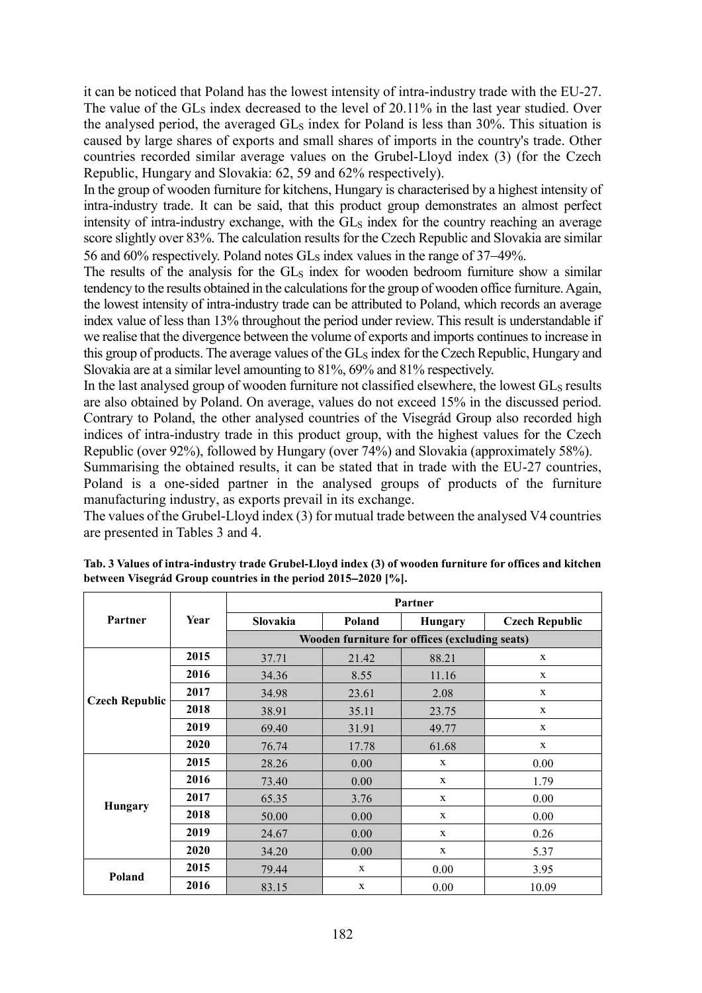it can be noticed that Poland has the lowest intensity of intra-industry trade with the EU-27. The value of the GL<sub>S</sub> index decreased to the level of 20.11% in the last year studied. Over the analysed period, the averaged GL<sub>S</sub> index for Poland is less than 30%. This situation is caused by large shares of exports and small shares of imports in the country's trade. Other countries recorded similar average values on the Grubel-Lloyd index (3) (for the Czech Republic, Hungary and Slovakia: 62, 59 and 62% respectively).

In the group of wooden furniture for kitchens, Hungary is characterised by a highest intensity of intra-industry trade. It can be said, that this product group demonstrates an almost perfect intensity of intra-industry exchange, with the GL<sub>S</sub> index for the country reaching an average score slightly over 83%. The calculation results for the Czech Republic and Slovakia are similar 56 and 60% respectively. Poland notes GLs index values in the range of 37–49%.

The results of the analysis for the GL<sub>S</sub> index for wooden bedroom furniture show a similar tendency to the results obtained in the calculations for the group of wooden office furniture. Again, the lowest intensity of intra-industry trade can be attributed to Poland, which records an average index value of less than 13% throughout the period under review. This result is understandable if we realise that the divergence between the volume of exports and imports continues to increase in this group of products. The average values of the  $GL<sub>S</sub>$  index for the Czech Republic, Hungary and Slovakia are at a similar level amounting to 81%, 69% and 81% respectively.

In the last analysed group of wooden furniture not classified elsewhere, the lowest  $GL<sub>S</sub>$  results are also obtained by Poland. On average, values do not exceed 15% in the discussed period. Contrary to Poland, the other analysed countries of the Visegrád Group also recorded high indices of intra-industry trade in this product group, with the highest values for the Czech Republic (over 92%), followed by Hungary (over 74%) and Slovakia (approximately 58%).

Summarising the obtained results, it can be stated that in trade with the EU-27 countries, Poland is a one-sided partner in the analysed groups of products of the furniture manufacturing industry, as exports prevail in its exchange.

The values of the Grubel-Lloyd index (3) for mutual trade between the analysed V4 countries are presented in Tables 3 and 4.

|                       | Year | Partner                                        |        |                |                       |  |  |  |
|-----------------------|------|------------------------------------------------|--------|----------------|-----------------------|--|--|--|
| Partner               |      | <b>Slovakia</b>                                | Poland | <b>Hungary</b> | <b>Czech Republic</b> |  |  |  |
|                       |      | Wooden furniture for offices (excluding seats) |        |                |                       |  |  |  |
|                       | 2015 | 37.71                                          | 21.42  | 88.21          | X                     |  |  |  |
|                       | 2016 | 34.36                                          | 8.55   | 11.16          | X                     |  |  |  |
|                       | 2017 | 34.98                                          | 23.61  | 2.08           | X                     |  |  |  |
| <b>Czech Republic</b> | 2018 | 38.91                                          | 35.11  | 23.75          | X                     |  |  |  |
|                       | 2019 | 69.40                                          | 31.91  | 49.77          | X                     |  |  |  |
|                       | 2020 | 76.74                                          | 17.78  | 61.68          | X                     |  |  |  |
|                       | 2015 | 28.26                                          | 0.00   | X              | 0.00                  |  |  |  |
|                       | 2016 | 73.40                                          | 0.00   | $\mathbf{x}$   | 1.79                  |  |  |  |
| Hungary               | 2017 | 65.35                                          | 3.76   | X              | 0.00                  |  |  |  |
|                       | 2018 | 50.00                                          | 0.00   | X              | 0.00                  |  |  |  |
|                       | 2019 | 24.67                                          | 0.00   | $\mathbf{x}$   | 0.26                  |  |  |  |
|                       | 2020 | 34.20                                          | 0.00   | X              | 5.37                  |  |  |  |
| Poland                | 2015 | 79.44                                          | X      | 0.00           | 3.95                  |  |  |  |
|                       | 2016 | 83.15                                          | X      | 0.00           | 10.09                 |  |  |  |

**Tab. 3 Values of intra-industry trade Grubel-Lloyd index (3) of wooden furniture for offices and kitchen between Visegrád Group countries in the period 20152020 [%].**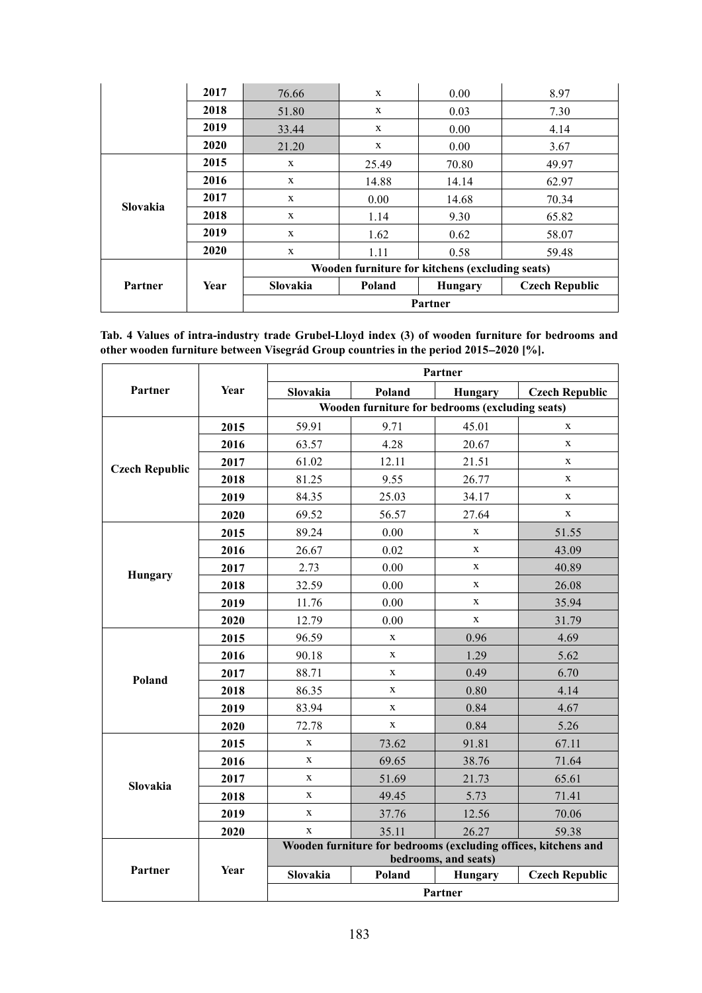|          | 2017 | 76.66                                           | X      | 0.00    | 8.97                  |  |  |
|----------|------|-------------------------------------------------|--------|---------|-----------------------|--|--|
|          | 2018 | 51.80                                           | X      | 0.03    | 7.30                  |  |  |
|          | 2019 | 33.44                                           | X      | 0.00    | 4.14                  |  |  |
|          | 2020 | 21.20                                           | X      | 0.00    | 3.67                  |  |  |
|          | 2015 | $\mathbf{x}$                                    | 25.49  | 70.80   | 49.97                 |  |  |
|          | 2016 | $\mathbf{x}$                                    | 14.88  | 14.14   | 62.97                 |  |  |
| Slovakia | 2017 | X                                               | 0.00   | 14.68   | 70.34                 |  |  |
|          | 2018 | X                                               | 1.14   | 9.30    | 65.82                 |  |  |
|          | 2019 | $\mathbf{x}$                                    | 1.62   | 0.62    | 58.07                 |  |  |
|          | 2020 | X                                               | 1.11   | 0.58    | 59.48                 |  |  |
|          |      | Wooden furniture for kitchens (excluding seats) |        |         |                       |  |  |
| Partner  | Year | Slovakia                                        | Poland | Hungary | <b>Czech Republic</b> |  |  |
|          |      | Partner                                         |        |         |                       |  |  |

**Tab. 4 Values of intra-industry trade Grubel-Lloyd index (3) of wooden furniture for bedrooms and other wooden furniture between Visegrád Group countries in the period 20152020 [%].**

|                       | <b>Year</b> | Partner                                                                                |              |             |                       |  |  |
|-----------------------|-------------|----------------------------------------------------------------------------------------|--------------|-------------|-----------------------|--|--|
| Partner               |             | Slovakia                                                                               | Poland       | Hungary     | <b>Czech Republic</b> |  |  |
|                       |             | Wooden furniture for bedrooms (excluding seats)                                        |              |             |                       |  |  |
|                       | 2015        | 59.91                                                                                  | 9.71         | 45.01       | $\mathbf x$           |  |  |
|                       | 2016        | 63.57                                                                                  | 4.28         | 20.67       | $\mathbf{x}$          |  |  |
|                       | 2017        | 61.02                                                                                  | 12.11        | 21.51       | $\mathbf{x}$          |  |  |
| <b>Czech Republic</b> | 2018        | 81.25                                                                                  | 9.55         | 26.77       | X                     |  |  |
|                       | 2019        | 84.35                                                                                  | 25.03        | 34.17       | X                     |  |  |
|                       | 2020        | 69.52                                                                                  | 56.57        | 27.64       | X                     |  |  |
|                       | 2015        | 89.24                                                                                  | 0.00         | $\mathbf X$ | 51.55                 |  |  |
|                       | 2016        | 26.67                                                                                  | 0.02         | X           | 43.09                 |  |  |
|                       | 2017        | 2.73                                                                                   | 0.00         | X           | 40.89                 |  |  |
| Hungary               | 2018        | 32.59                                                                                  | 0.00         | X           | 26.08                 |  |  |
|                       | 2019        | 11.76                                                                                  | 0.00         | X           | 35.94                 |  |  |
|                       | 2020        | 12.79                                                                                  | 0.00         | X           | 31.79                 |  |  |
|                       | 2015        | 96.59                                                                                  | X            | 0.96        | 4.69                  |  |  |
|                       | 2016        | 90.18                                                                                  | X            | 1.29        | 5.62                  |  |  |
| Poland                | 2017        | 88.71                                                                                  | $\mathbf{x}$ | 0.49        | 6.70                  |  |  |
|                       | 2018        | 86.35                                                                                  | X            | 0.80        | 4.14                  |  |  |
|                       | 2019        | 83.94                                                                                  | $\mathbf X$  | 0.84        | 4.67                  |  |  |
|                       | 2020        | 72.78                                                                                  | $\mathbf X$  | 0.84        | 5.26                  |  |  |
|                       | 2015        | $\mathbf X$                                                                            | 73.62        | 91.81       | 67.11                 |  |  |
|                       | 2016        | $\mathbf X$                                                                            | 69.65        | 38.76       | 71.64                 |  |  |
| Slovakia              | 2017        | $\mathbf x$                                                                            | 51.69        | 21.73       | 65.61                 |  |  |
|                       | 2018        | $\mathbf X$                                                                            | 49.45        | 5.73        | 71.41                 |  |  |
|                       | 2019        | $\mathbf X$                                                                            | 37.76        | 12.56       | 70.06                 |  |  |
|                       | 2020        | $\mathbf X$                                                                            | 35.11        | 26.27       | 59.38                 |  |  |
|                       |             | Wooden furniture for bedrooms (excluding offices, kitchens and<br>bedrooms, and seats) |              |             |                       |  |  |
| Partner               | Year        | Slovakia                                                                               | Poland       | Hungary     | <b>Czech Republic</b> |  |  |
|                       |             | Partner                                                                                |              |             |                       |  |  |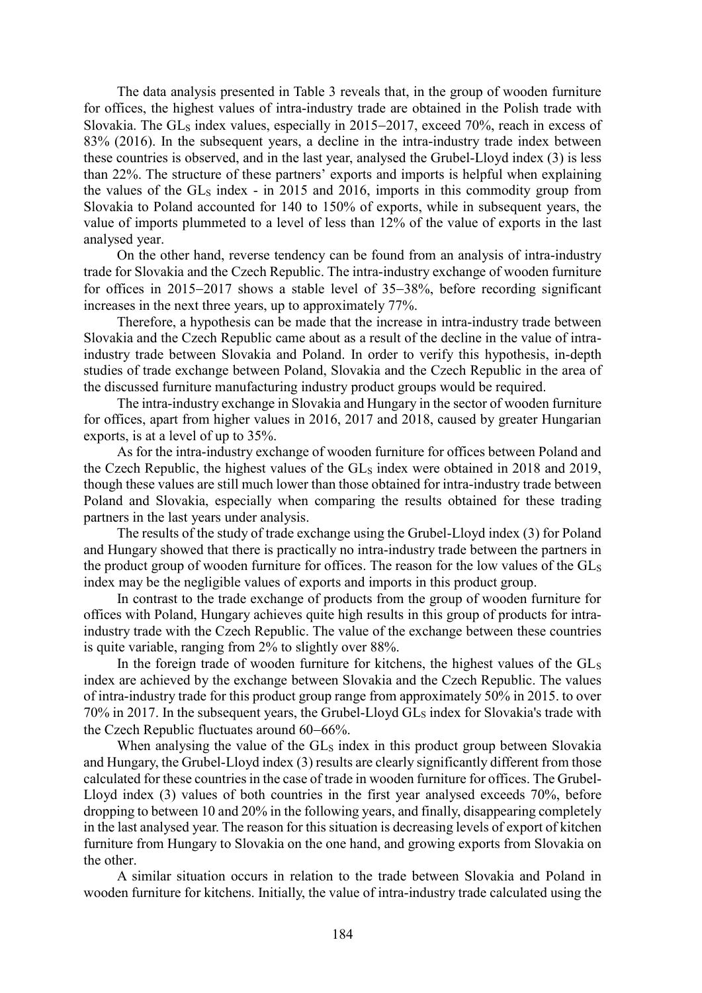The data analysis presented in Table 3 reveals that, in the group of wooden furniture for offices, the highest values of intra-industry trade are obtained in the Polish trade with Slovakia. The GL<sub>S</sub> index values, especially in  $2015-2017$ , exceed 70%, reach in excess of 83% (2016). In the subsequent years, a decline in the intra-industry trade index between these countries is observed, and in the last year, analysed the Grubel-Lloyd index (3) is less than 22%. The structure of these partners' exports and imports is helpful when explaining the values of the  $GL<sub>S</sub>$  index - in 2015 and 2016, imports in this commodity group from Slovakia to Poland accounted for 140 to 150% of exports, while in subsequent years, the value of imports plummeted to a level of less than 12% of the value of exports in the last analysed year.

On the other hand, reverse tendency can be found from an analysis of intra-industry trade for Slovakia and the Czech Republic. The intra-industry exchange of wooden furniture for offices in  $2015-2017$  shows a stable level of  $35-38%$ , before recording significant increases in the next three years, up to approximately 77%.

Therefore, a hypothesis can be made that the increase in intra-industry trade between Slovakia and the Czech Republic came about as a result of the decline in the value of intraindustry trade between Slovakia and Poland. In order to verify this hypothesis, in-depth studies of trade exchange between Poland, Slovakia and the Czech Republic in the area of the discussed furniture manufacturing industry product groups would be required.

The intra-industry exchange in Slovakia and Hungary in the sector of wooden furniture for offices, apart from higher values in 2016, 2017 and 2018, caused by greater Hungarian exports, is at a level of up to 35%.

As for the intra-industry exchange of wooden furniture for offices between Poland and the Czech Republic, the highest values of the GLs index were obtained in 2018 and 2019, though these values are still much lower than those obtained for intra-industry trade between Poland and Slovakia, especially when comparing the results obtained for these trading partners in the last years under analysis.

The results of the study of trade exchange using the Grubel-Lloyd index (3) for Poland and Hungary showed that there is practically no intra-industry trade between the partners in the product group of wooden furniture for offices. The reason for the low values of the GLs index may be the negligible values of exports and imports in this product group.

In contrast to the trade exchange of products from the group of wooden furniture for offices with Poland, Hungary achieves quite high results in this group of products for intraindustry trade with the Czech Republic. The value of the exchange between these countries is quite variable, ranging from 2% to slightly over 88%.

In the foreign trade of wooden furniture for kitchens, the highest values of the  $GL<sub>S</sub>$ index are achieved by the exchange between Slovakia and the Czech Republic. The values of intra-industry trade for this product group range from approximately 50% in 2015. to over  $70\%$  in 2017. In the subsequent years, the Grubel-Lloyd GLs index for Slovakia's trade with the Czech Republic fluctuates around  $60-66%$ .

When analysing the value of the GLs index in this product group between Slovakia and Hungary, the Grubel-Lloyd index (3) results are clearly significantly different from those calculated for these countries in the case of trade in wooden furniture for offices. The Grubel-Lloyd index (3) values of both countries in the first year analysed exceeds 70%, before dropping to between 10 and 20% in the following years, and finally, disappearing completely in the last analysed year. The reason for this situation is decreasing levels of export of kitchen furniture from Hungary to Slovakia on the one hand, and growing exports from Slovakia on the other.

A similar situation occurs in relation to the trade between Slovakia and Poland in wooden furniture for kitchens. Initially, the value of intra-industry trade calculated using the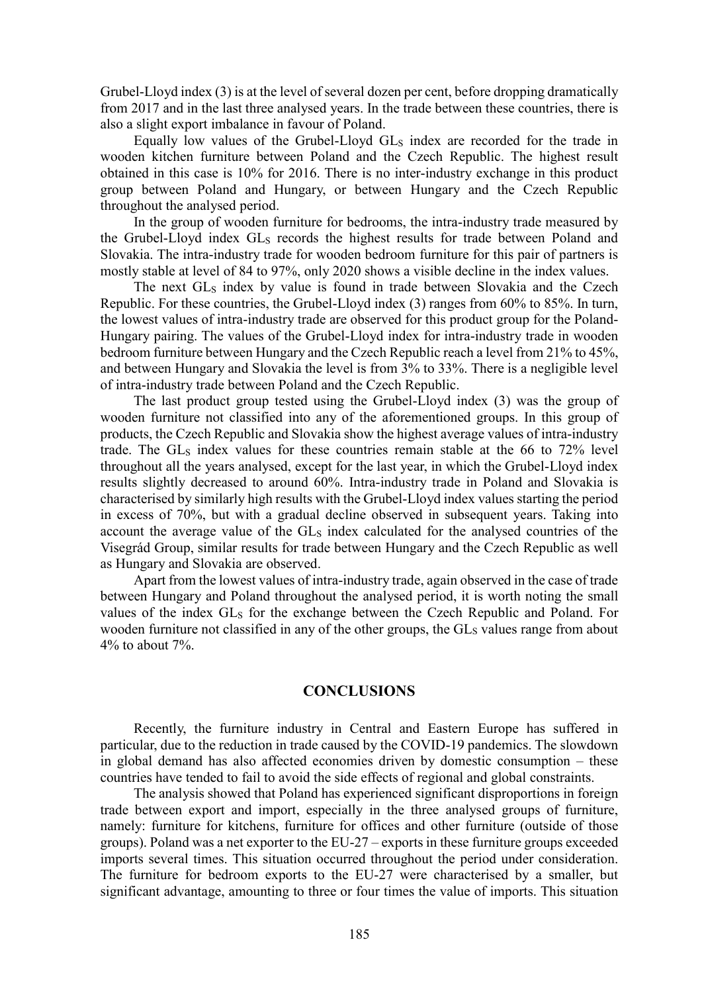Grubel-Lloyd index (3) is at the level of several dozen per cent, before dropping dramatically from 2017 and in the last three analysed years. In the trade between these countries, there is also a slight export imbalance in favour of Poland.

Equally low values of the Grubel-Lloyd GL<sup>S</sup> index are recorded for the trade in wooden kitchen furniture between Poland and the Czech Republic. The highest result obtained in this case is 10% for 2016. There is no inter-industry exchange in this product group between Poland and Hungary, or between Hungary and the Czech Republic throughout the analysed period.

In the group of wooden furniture for bedrooms, the intra-industry trade measured by the Grubel-Lloyd index GL<sub>S</sub> records the highest results for trade between Poland and Slovakia. The intra-industry trade for wooden bedroom furniture for this pair of partners is mostly stable at level of 84 to 97%, only 2020 shows a visible decline in the index values.

The next GLs index by value is found in trade between Slovakia and the Czech Republic. For these countries, the Grubel-Lloyd index (3) ranges from 60% to 85%. In turn, the lowest values of intra-industry trade are observed for this product group for the Poland-Hungary pairing. The values of the Grubel-Lloyd index for intra-industry trade in wooden bedroom furniture between Hungary and the Czech Republic reach a level from 21% to 45%, and between Hungary and Slovakia the level is from 3% to 33%. There is a negligible level of intra-industry trade between Poland and the Czech Republic.

The last product group tested using the Grubel-Lloyd index (3) was the group of wooden furniture not classified into any of the aforementioned groups. In this group of products, the Czech Republic and Slovakia show the highest average values of intra-industry trade. The  $GL<sub>S</sub>$  index values for these countries remain stable at the 66 to 72% level throughout all the years analysed, except for the last year, in which the Grubel-Lloyd index results slightly decreased to around 60%. Intra-industry trade in Poland and Slovakia is characterised by similarly high results with the Grubel-Lloyd index values starting the period in excess of 70%, but with a gradual decline observed in subsequent years. Taking into account the average value of the GL<sub>S</sub> index calculated for the analysed countries of the Visegrád Group, similar results for trade between Hungary and the Czech Republic as well as Hungary and Slovakia are observed.

Apart from the lowest values of intra-industry trade, again observed in the case of trade between Hungary and Poland throughout the analysed period, it is worth noting the small values of the index GLs for the exchange between the Czech Republic and Poland. For wooden furniture not classified in any of the other groups, the  $GL<sub>S</sub>$  values range from about  $4\%$  to about  $7\%$ .

#### **CONCLUSIONS**

Recently, the furniture industry in Central and Eastern Europe has suffered in particular, due to the reduction in trade caused by the COVID-19 pandemics. The slowdown in global demand has also affected economies driven by domestic consumption – these countries have tended to fail to avoid the side effects of regional and global constraints.

The analysis showed that Poland has experienced significant disproportions in foreign trade between export and import, especially in the three analysed groups of furniture, namely: furniture for kitchens, furniture for offices and other furniture (outside of those groups). Poland was a net exporter to the EU-27 – exports in these furniture groups exceeded imports several times. This situation occurred throughout the period under consideration. The furniture for bedroom exports to the EU-27 were characterised by a smaller, but significant advantage, amounting to three or four times the value of imports. This situation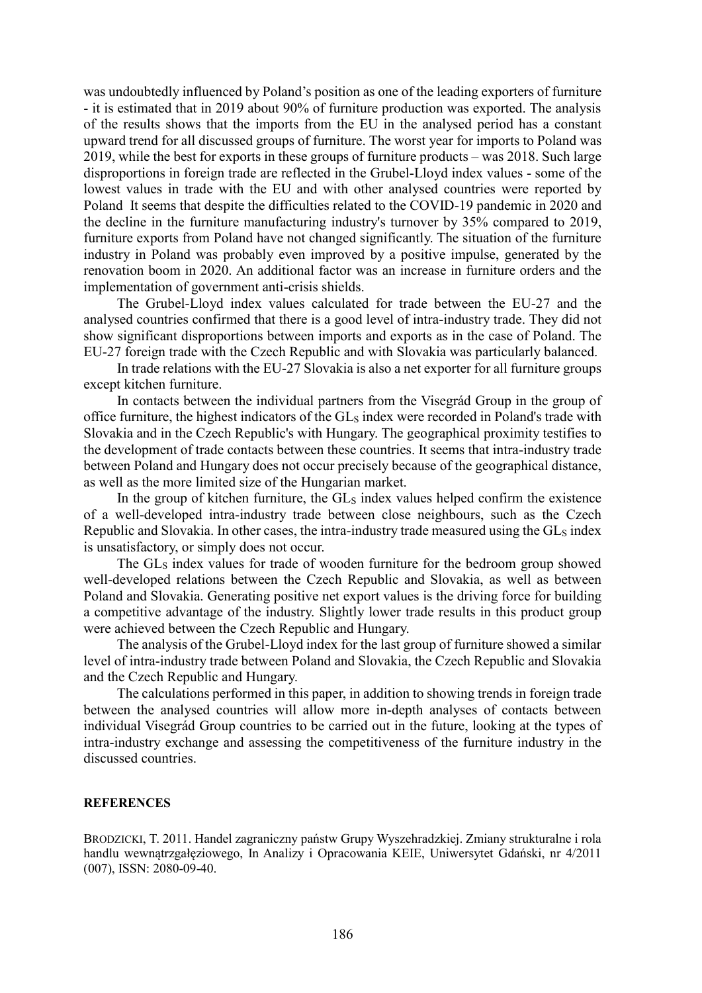was undoubtedly influenced by Poland's position as one of the leading exporters of furniture - it is estimated that in 2019 about 90% of furniture production was exported. The analysis of the results shows that the imports from the EU in the analysed period has a constant upward trend for all discussed groups of furniture. The worst year for imports to Poland was 2019, while the best for exports in these groups of furniture products – was 2018. Such large disproportions in foreign trade are reflected in the Grubel-Lloyd index values - some of the lowest values in trade with the EU and with other analysed countries were reported by Poland. It seems that despite the difficulties related to the COVID-19 pandemic in 2020 and the decline in the furniture manufacturing industry's turnover by 35% compared to 2019, furniture exports from Poland have not changed significantly. The situation of the furniture industry in Poland was probably even improved by a positive impulse, generated by the renovation boom in 2020. An additional factor was an increase in furniture orders and the implementation of government anti-crisis shields.

The Grubel-Lloyd index values calculated for trade between the EU-27 and the analysed countries confirmed that there is a good level of intra-industry trade. They did not show significant disproportions between imports and exports as in the case of Poland. The EU-27 foreign trade with the Czech Republic and with Slovakia was particularly balanced.

In trade relations with the EU-27 Slovakia is also a net exporter for all furniture groups except kitchen furniture.

In contacts between the individual partners from the Visegrád Group in the group of office furniture, the highest indicators of the GL<sub>S</sub> index were recorded in Poland's trade with Slovakia and in the Czech Republic's with Hungary. The geographical proximity testifies to the development of trade contacts between these countries. It seems that intra-industry trade between Poland and Hungary does not occur precisely because of the geographical distance, as well as the more limited size of the Hungarian market.

In the group of kitchen furniture, the  $GL<sub>S</sub>$  index values helped confirm the existence of a well-developed intra-industry trade between close neighbours, such as the Czech Republic and Slovakia. In other cases, the intra-industry trade measured using the  $GL<sub>S</sub>$  index is unsatisfactory, or simply does not occur.

The GL<sub>S</sub> index values for trade of wooden furniture for the bedroom group showed well-developed relations between the Czech Republic and Slovakia, as well as between Poland and Slovakia. Generating positive net export values is the driving force for building a competitive advantage of the industry. Slightly lower trade results in this product group were achieved between the Czech Republic and Hungary.

The analysis of the Grubel-Lloyd index for the last group of furniture showed a similar level of intra-industry trade between Poland and Slovakia, the Czech Republic and Slovakia and the Czech Republic and Hungary.

The calculations performed in this paper, in addition to showing trends in foreign trade between the analysed countries will allow more in-depth analyses of contacts between individual Visegrád Group countries to be carried out in the future, looking at the types of intra-industry exchange and assessing the competitiveness of the furniture industry in the discussed countries.

#### **REFERENCES**

BRODZICKI, T. 2011. Handel zagraniczny państw Grupy Wyszehradzkiej. Zmiany strukturalne i rola handlu wewnątrzgałęziowego, In Analizy i Opracowania KEIE, Uniwersytet Gdański, nr 4/2011 (007), ISSN: 2080-09-40.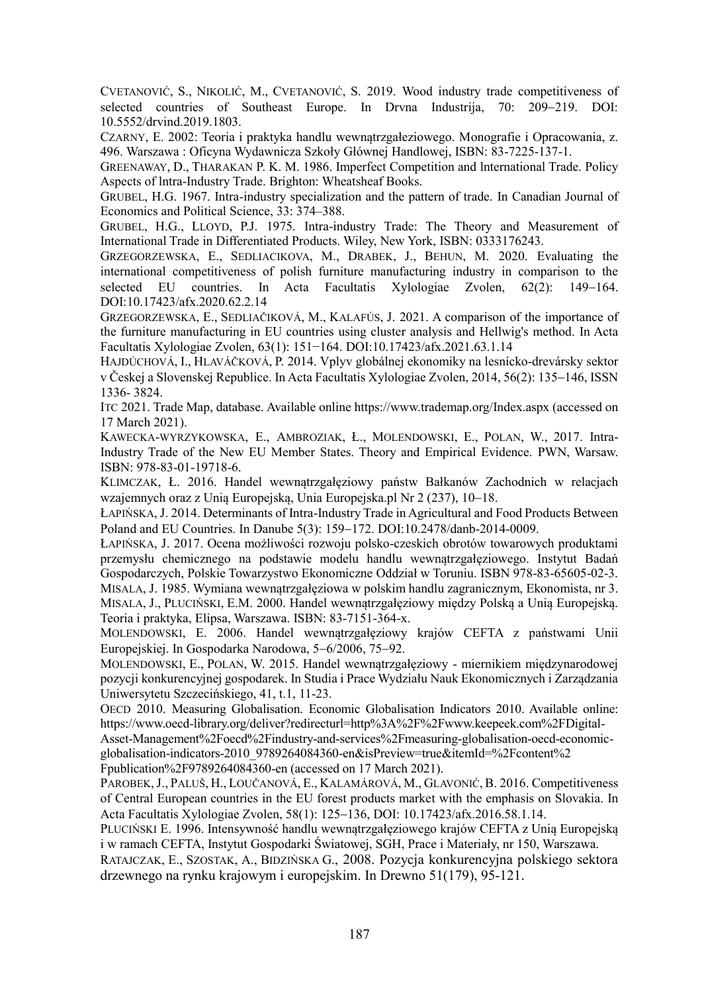CVETANOVIĆ, S., NIKOLIĆ, M., CVETANOVIĆ, S. 2019. Wood industry trade competitiveness of selected countries of Southeast Europe. In Drvna Industrija, 70: 209–219. DOI: 10.5552/drvind.2019.1803.

CZARNY, E. 2002: Teoria i praktyka handlu wewnątrzgałeziowego. Monografie i Opracowania, z. 496. Warszawa : Oficyna Wydawnicza Szkoły Głównej Handlowej, ISBN: 83-7225-137-1.

GREENAWAY, D., THARAKAN P. K. M. 1986. Imperfect Competition and lnternational Trade. Policy Aspects of lntra-Industry Trade. Brighton: Wheatsheaf Books.

GRUBEL, H.G. 1967. Intra-industry specialization and the pattern of trade. In Canadian Journal of Economics and Political Science, 33: 374–388.

GRUBEL, H.G., LLOYD, P.J. 1975. Intra-industry Trade: The Theory and Measurement of International Trade in Differentiated Products. Wiley, New York, ISBN: 0333176243.

GRZEGORZEWSKA, E., SEDLIACIKOVA, M., DRABEK, J., BEHUN, M. 2020. Evaluating the international competitiveness of polish furniture manufacturing industry in comparison to the selected EU countries. In Acta Facultatis Xylologiae Zvolen, 62(2): 149–164. DOI:10.17423/afx.2020.62.2.14

GRZEGORZEWSKA, E., SEDLIAČIKOVÁ, M., KALAFÚS, J. 2021. A comparison of the importance of the furniture manufacturing in EU countries using cluster analysis and Hellwig's method. In Acta Facultatis Xylologiae Zvolen, 63(1): 151−164. DOI:10.17423/afx.2021.63.1.14

HAJDÚCHOVÁ, I., HLAVÁČKOVÁ, P. 2014. Vplyv globálnej ekonomiky na lesnícko-drevársky sektor v Českej a Slovenskej Republice. In Acta Facultatis Xylologiae Zvolen, 2014, 56(2): 135–146, ISSN 1336- 3824.

ITC 2021. Trade Map, database. Available online https://www.trademap.org/Index.aspx (accessed on 17 March 2021).

KAWECKA-WYRZYKOWSKA, E., AMBROZIAK, Ł., MOLENDOWSKI, E., POLAN, W., 2017. Intra-Industry Trade of the New EU Member States. Theory and Empirical Evidence. PWN, Warsaw. ISBN: 978-83-01-19718-6.

KLIMCZAK, Ł. 2016. Handel wewnątrzgałęziowy państw Bałkanów Zachodnich w relacjach wzajemnych oraz z Unią Europejską, Unią Europejską.pl Nr 2 (237), 10–18.

ŁAPIŃSKA, J. 2014. Determinants of Intra-Industry Trade in Agricultural and Food Products Between Poland and EU Countries. In Danube 5(3): 159-172. DOI:10.2478/danb-2014-0009.

ŁAPIŃSKA, J. 2017. Ocena możliwości rozwoju polsko-czeskich obrotów towarowych produktami przemysłu chemicznego na podstawie modelu handlu wewnątrzgałęziowego. Instytut Badań Gospodarczych, Polskie Towarzystwo Ekonomiczne Oddział w Toruniu. ISBN 978-83-65605-02-3. MISALA, J. 1985. Wymiana wewnątrzgałęziowa w polskim handlu zagranicznym, Ekonomista, nr 3.

MISALA, J., PLUCIŃSKI, E.M. 2000. Handel wewnątrzgałęziowy między Polską a Unią Europejską. Teoria i praktyka, Elipsa, Warszawa. ISBN: 83-7151-364-x.

MOLENDOWSKI, E. 2006. Handel wewnątrzgałęziowy krajów CEFTA z państwami Unii Europejskiej. In Gospodarka Narodowa, 5–6/2006, 75–92.

MOLENDOWSKI, E., POLAN, W. 2015. Handel wewnątrzgałęziowy - miernikiem międzynarodowej pozycji konkurencyjnej gospodarek. In Studia i Prace Wydziału Nauk Ekonomicznych i Zarządzania Uniwersytetu Szczecińskiego, 41, t.1, 11-23.

OECD 2010. Measuring Globalisation. Economic Globalisation Indicators 2010. Available online: https://www.oecd-library.org/deliver?redirecturl=http%3A%2F%2Fwww.keepeek.com%2FDigital-

Asset-Management%2Foecd%2Findustry-and-services%2Fmeasuring-globalisation-oecd-economicglobalisation-indicators-2010\_9789264084360-en&isPreview=true&itemId=%2Fcontent%2

Fpublication%2F9789264084360-en (accessed on 17 March 2021).

PAROBEK, J., PALUŠ, H., LOUČANOVÁ, E., KALAMÁROVÁ, M., GLAVONIĆ, B. 2016. Competitiveness of Central European countries in the EU forest products market with the emphasis on Slovakia. In Acta Facultatis Xylologiae Zvolen, 58(1): 125–136, DOI: 10.17423/afx.2016.58.1.14.

PLUCIŃSKI E. 1996. Intensywność handlu wewnątrzgałęziowego krajów CEFTA z Unią Europejską i w ramach CEFTA, Instytut Gospodarki Światowej, SGH, Prace i Materiały, nr 150, Warszawa.

RATAJCZAK, E., SZOSTAK, A., BIDZIŃSKA G., 2008. Pozycja konkurencyjna polskiego sektora drzewnego na rynku krajowym i europejskim. In Drewno 51(179), 95-121.